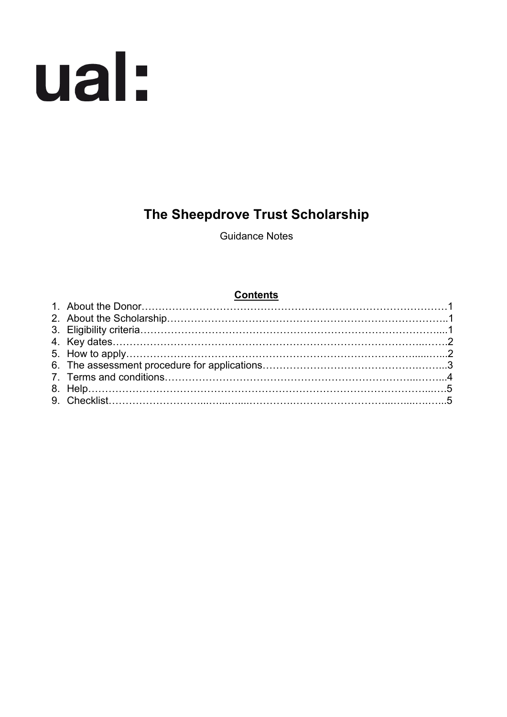

# **The Sheepdrove Trust Scholarship**

Guidance Notes

## **Contents**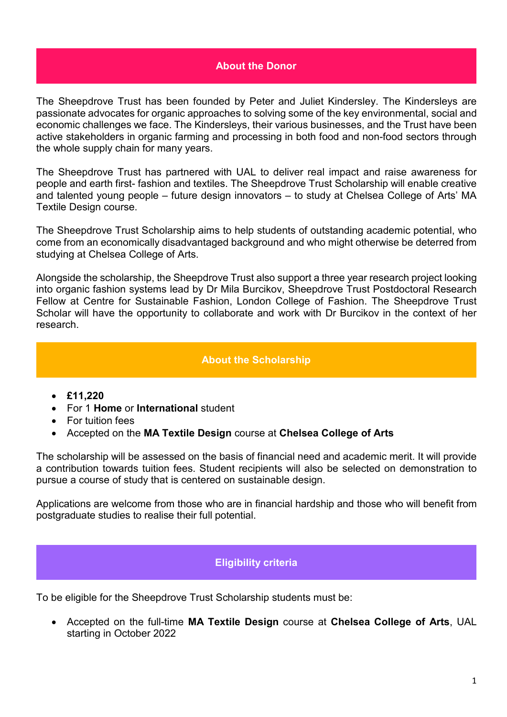#### **About the Donor**

The Sheepdrove Trust has been founded by Peter and Juliet Kindersley. The Kindersleys are passionate advocates for organic approaches to solving some of the key environmental, social and economic challenges we face. The Kindersleys, their various businesses, and the Trust have been active stakeholders in organic farming and processing in both food and non-food sectors through the whole supply chain for many years.

The Sheepdrove Trust has partnered with UAL to deliver real impact and raise awareness for people and earth first- fashion and textiles. The Sheepdrove Trust Scholarship will enable creative and talented young people – future design innovators – to study at Chelsea College of Arts' MA Textile Design course.

The Sheepdrove Trust Scholarship aims to help students of outstanding academic potential, who come from an economically disadvantaged background and who might otherwise be deterred from studying at Chelsea College of Arts.

Alongside the scholarship, the Sheepdrove Trust also support a three year research project looking into organic fashion systems lead by Dr Mila Burcikov, Sheepdrove Trust Postdoctoral Research Fellow at Centre for Sustainable Fashion, London College of Fashion. The Sheepdrove Trust Scholar will have the opportunity to collaborate and work with Dr Burcikov in the context of her research.

#### **About the Scholarship**

- **£11,220**
- For 1 **Home** or **International** student
- For tuition fees
- Accepted on the **MA Textile Design** course at **Chelsea College of Arts**

The scholarship will be assessed on the basis of financial need and academic merit. It will provide a contribution towards tuition fees. Student recipients will also be selected on demonstration to pursue a course of study that is centered on sustainable design.

Applications are welcome from those who are in financial hardship and those who will benefit from postgraduate studies to realise their full potential.

### **Eligibility criteria**

To be eligible for the Sheepdrove Trust Scholarship students must be:

• Accepted on the full-time **MA Textile Design** course at **Chelsea College of Arts**, UAL starting in October 2022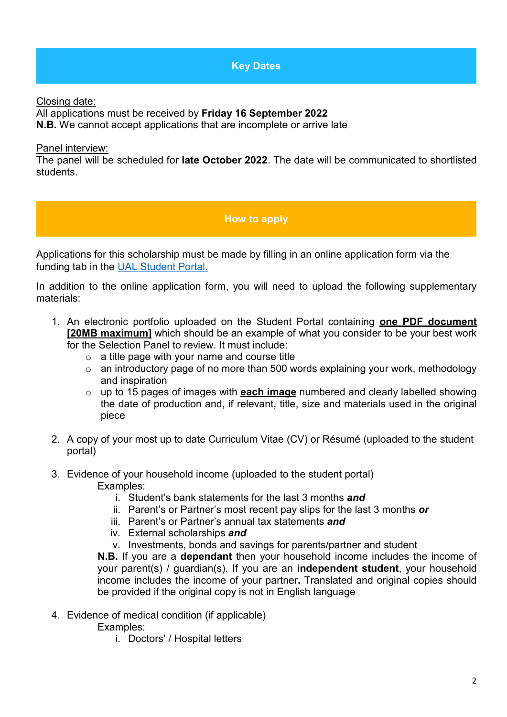# **Key Dates**

Closing date:

All applications must be received by **Friday 16 September 2022**

**N.B.** We cannot accept applications that are incomplete or arrive late

#### Panel interview:

The panel will be scheduled for **late October 2022**. The date will be communicated to shortlisted students.

# **How to apply**

Applications for this scholarship must be made by filling in an online application form via the funding tab in the [UAL Student Portal.](https://sits.arts.ac.uk/urd/sits.urd/run/SIW_LGN)

In addition to the online application form, you will need to upload the following supplementary materials:

- 1. An electronic portfolio uploaded on the Student Portal containing **one PDF document [20MB maximum]** which should be an example of what you consider to be your best work for the Selection Panel to review. It must include:
	- $\circ$  a title page with your name and course title
	- o an introductory page of no more than 500 words explaining your work, methodology and inspiration
	- o up to 15 pages of images with **each image** numbered and clearly labelled showing the date of production and, if relevant, title, size and materials used in the original piece
- 2. A copy of your most up to date Curriculum Vitae (CV) or Résumé (uploaded to the student portal)
- 3. Evidence of your household income (uploaded to the student portal) Examples:
	- i. Student's bank statements for the last 3 months *and*
	- ii. Parent's or Partner's most recent pay slips for the last 3 months *or*
	- iii. Parent's or Partner's annual tax statements *and*
	- iv. External scholarships *and*
	- v. Investments, bonds and savings for parents/partner and student

**N.B.** If you are a **dependant** then your household income includes the income of your parent(s) / guardian(s). If you are an **independent student**, your household income includes the income of your partner**.** Translated and original copies should be provided if the original copy is not in English language

4. Evidence of medical condition (if applicable)

Examples:

i. Doctors' / Hospital letters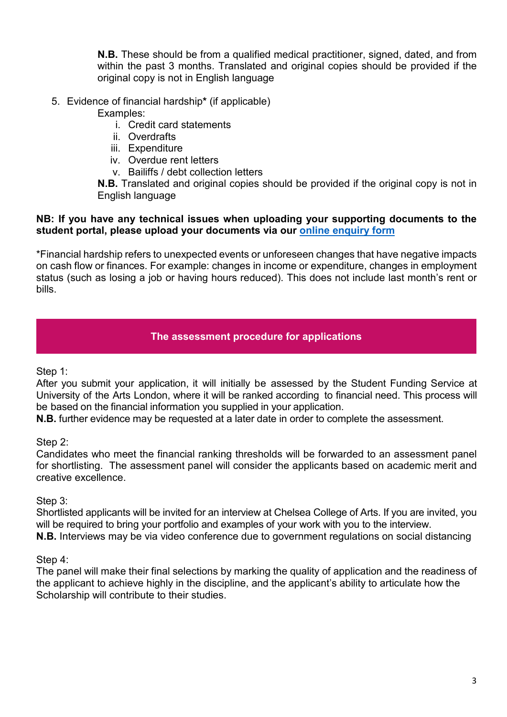**N.B.** These should be from a qualified medical practitioner, signed, dated, and from within the past 3 months. Translated and original copies should be provided if the original copy is not in English language

5. Evidence of financial hardship**\*** (if applicable)

Examples:

- i. Credit card statements
- ii. Overdrafts
- iii. Expenditure
- iv. Overdue rent letters
- v. Bailiffs / debt collection letters

**N.B.** Translated and original copies should be provided if the original copy is not in English language

### **NB: If you have any technical issues when uploading your supporting documents to the student portal, please upload your documents via our [online enquiry form](https://forms.arts.ac.uk/funding-student-enquiry-form/)**

\*Financial hardship refers to unexpected events or unforeseen changes that have negative impacts on cash flow or finances. For example: changes in income or expenditure, changes in employment status (such as losing a job or having hours reduced). This does not include last month's rent or bills.

# **The assessment procedure for applications**

Step 1:

After you submit your application, it will initially be assessed by the Student Funding Service at University of the Arts London, where it will be ranked according to financial need. This process will be based on the financial information you supplied in your application.

**N.B.** further evidence may be requested at a later date in order to complete the assessment.

Step 2:

Candidates who meet the financial ranking thresholds will be forwarded to an assessment panel for shortlisting. The assessment panel will consider the applicants based on academic merit and creative excellence.

Step 3:

Shortlisted applicants will be invited for an interview at Chelsea College of Arts. If you are invited, you will be required to bring your portfolio and examples of your work with you to the interview. **N.B.** Interviews may be via video conference due to government regulations on social distancing

### Step 4:

The panel will make their final selections by marking the quality of application and the readiness of the applicant to achieve highly in the discipline, and the applicant's ability to articulate how the Scholarship will contribute to their studies.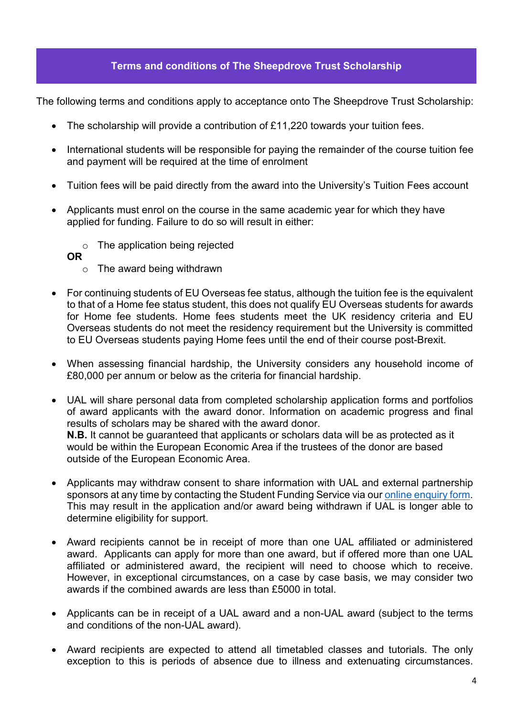## **Terms and conditions of The Sheepdrove Trust Scholarship**

The following terms and conditions apply to acceptance onto The Sheepdrove Trust Scholarship:

- The scholarship will provide a contribution of £11,220 towards your tuition fees.
- International students will be responsible for paying the remainder of the course tuition fee and payment will be required at the time of enrolment
- Tuition fees will be paid directly from the award into the University's Tuition Fees account
- Applicants must enrol on the course in the same academic year for which they have applied for funding. Failure to do so will result in either:
	- o The application being rejected
	- **OR** 
		- o The award being withdrawn
- For continuing students of EU Overseas fee status, although the tuition fee is the equivalent to that of a Home fee status student, this does not qualify EU Overseas students for awards for Home fee students. Home fees students meet the UK residency criteria and EU Overseas students do not meet the residency requirement but the University is committed to EU Overseas students paying Home fees until the end of their course post-Brexit.
- When assessing financial hardship, the University considers any household income of £80,000 per annum or below as the criteria for financial hardship.
- UAL will share personal data from completed scholarship application forms and portfolios of award applicants with the award donor. Information on academic progress and final results of scholars may be shared with the award donor. **N.B.** It cannot be guaranteed that applicants or scholars data will be as protected as it would be within the European Economic Area if the trustees of the donor are based outside of the European Economic Area.
- Applicants may withdraw consent to share information with UAL and external partnership sponsors at any time by contacting the Student Funding Service via ou[r online enquiry form.](https://forms.arts.ac.uk/funding-student-enquiry-form/) This may result in the application and/or award being withdrawn if UAL is longer able to determine eligibility for support.
- Award recipients cannot be in receipt of more than one UAL affiliated or administered award. Applicants can apply for more than one award, but if offered more than one UAL affiliated or administered award, the recipient will need to choose which to receive. However, in exceptional circumstances, on a case by case basis, we may consider two awards if the combined awards are less than £5000 in total.
- Applicants can be in receipt of a UAL award and a non-UAL award (subject to the terms and conditions of the non-UAL award).
- Award recipients are expected to attend all timetabled classes and tutorials. The only exception to this is periods of absence due to illness and extenuating circumstances.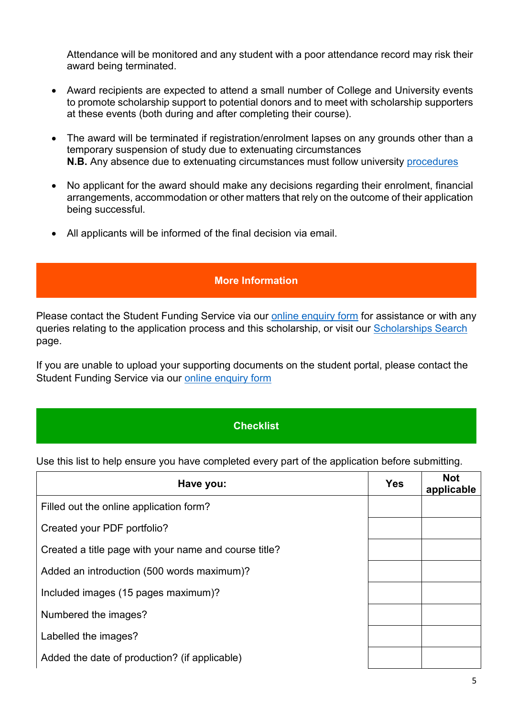Attendance will be monitored and any student with a poor attendance record may risk their award being terminated.

- Award recipients are expected to attend a small number of College and University events to promote scholarship support to potential donors and to meet with scholarship supporters at these events (both during and after completing their course).
- The award will be terminated if registration/enrolment lapses on any grounds other than a temporary suspension of study due to extenuating circumstances **N.B.** Any absence due to extenuating circumstances must follow university [procedures](https://www.arts.ac.uk/study-at-ual/academic-regulations/course-regulations/extenuating-circumstances-and-time-out)
- No applicant for the award should make any decisions regarding their enrolment, financial arrangements, accommodation or other matters that rely on the outcome of their application being successful.
- All applicants will be informed of the final decision via email.

# **More Information**

Please contact the Student Funding Service via our [online enquiry form](https://forms.arts.ac.uk/funding-student-enquiry-form/) for assistance or with any queries relating to the application process and this scholarship, or visit our [Scholarships Search](http://www.arts.ac.uk/study-at-ual/student-fees--funding/scholarships-search/) page.

If you are unable to upload your supporting documents on the student portal, please contact the Student Funding Service via our [online enquiry form](https://forms.arts.ac.uk/funding-student-enquiry-form/)

# **Checklist**

Use this list to help ensure you have completed every part of the application before submitting.

| Have you:                                             | <b>Yes</b> | <b>Not</b><br>applicable |
|-------------------------------------------------------|------------|--------------------------|
| Filled out the online application form?               |            |                          |
| Created your PDF portfolio?                           |            |                          |
| Created a title page with your name and course title? |            |                          |
| Added an introduction (500 words maximum)?            |            |                          |
| Included images (15 pages maximum)?                   |            |                          |
| Numbered the images?                                  |            |                          |
| Labelled the images?                                  |            |                          |
| Added the date of production? (if applicable)         |            |                          |